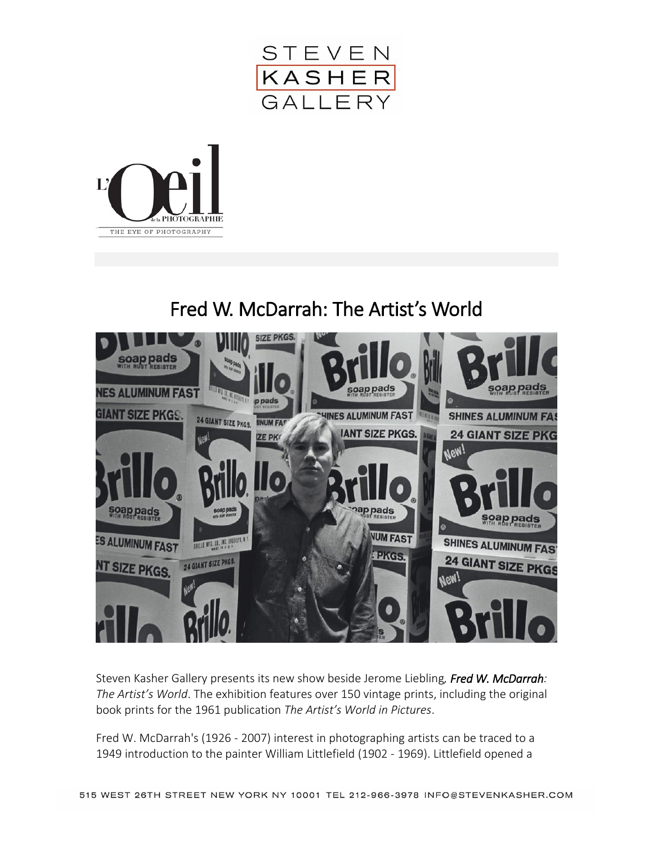



## Fred W. McDarrah: The Artist's World



Steven Kasher Gallery presents its new show beside Jerome Liebling*, Fred W. McDarrah: The Artist's World*. The exhibition features over 150 vintage prints, including the original book prints for the 1961 publication *The Artist's World in Pictures*.

Fred W. McDarrah's (1926 - 2007) interest in photographing artists can be traced to a 1949 introduction to the painter William Littlefield (1902 - 1969). Littlefield opened a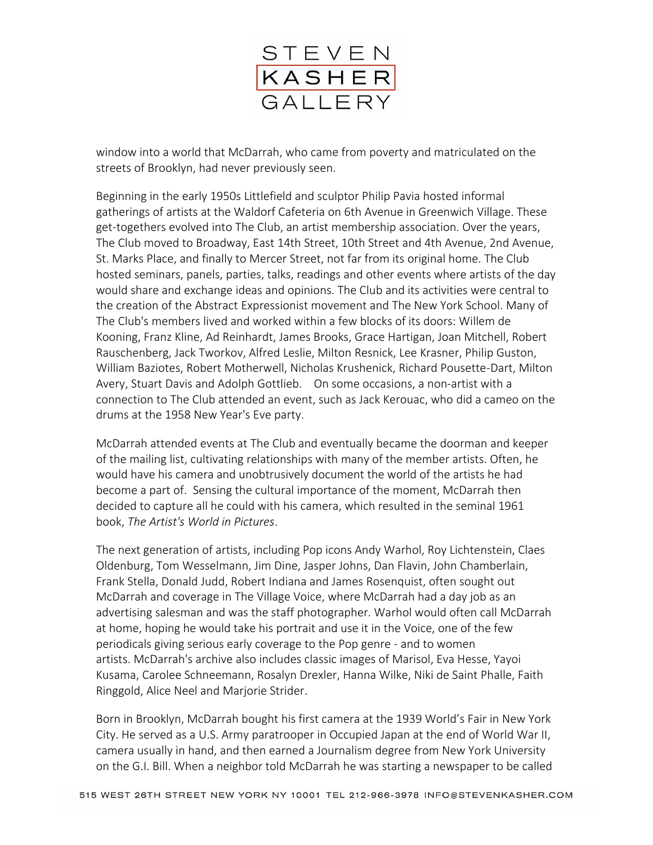

window into a world that McDarrah, who came from poverty and matriculated on the streets of Brooklyn, had never previously seen.

Beginning in the early 1950s Littlefield and sculptor Philip Pavia hosted informal gatherings of artists at the Waldorf Cafeteria on 6th Avenue in Greenwich Village. These get-togethers evolved into The Club, an artist membership association. Over the years, The Club moved to Broadway, East 14th Street, 10th Street and 4th Avenue, 2nd Avenue, St. Marks Place, and finally to Mercer Street, not far from its original home. The Club hosted seminars, panels, parties, talks, readings and other events where artists of the day would share and exchange ideas and opinions. The Club and its activities were central to the creation of the Abstract Expressionist movement and The New York School. Many of The Club's members lived and worked within a few blocks of its doors: Willem de Kooning, Franz Kline, Ad Reinhardt, James Brooks, Grace Hartigan, Joan Mitchell, Robert Rauschenberg, Jack Tworkov, Alfred Leslie, Milton Resnick, Lee Krasner, Philip Guston, William Baziotes, Robert Motherwell, Nicholas Krushenick, Richard Pousette-Dart, Milton Avery, Stuart Davis and Adolph Gottlieb. On some occasions, a non-artist with a connection to The Club attended an event, such as Jack Kerouac, who did a cameo on the drums at the 1958 New Year's Eve party.

McDarrah attended events at The Club and eventually became the doorman and keeper of the mailing list, cultivating relationships with many of the member artists. Often, he would have his camera and unobtrusively document the world of the artists he had become a part of. Sensing the cultural importance of the moment, McDarrah then decided to capture all he could with his camera, which resulted in the seminal 1961 book, *The Artist's World in Pictures*.

The next generation of artists, including Pop icons Andy Warhol, Roy Lichtenstein, Claes Oldenburg, Tom Wesselmann, Jim Dine, Jasper Johns, Dan Flavin, John Chamberlain, Frank Stella, Donald Judd, Robert Indiana and James Rosenquist, often sought out McDarrah and coverage in The Village Voice, where McDarrah had a day job as an advertising salesman and was the staff photographer. Warhol would often call McDarrah at home, hoping he would take his portrait and use it in the Voice, one of the few periodicals giving serious early coverage to the Pop genre - and to women artists. McDarrah's archive also includes classic images of Marisol, Eva Hesse, Yayoi Kusama, Carolee Schneemann, Rosalyn Drexler, Hanna Wilke, Niki de Saint Phalle, Faith Ringgold, Alice Neel and Marjorie Strider.

Born in Brooklyn, McDarrah bought his first camera at the 1939 World's Fair in New York City. He served as a U.S. Army paratrooper in Occupied Japan at the end of World War II, camera usually in hand, and then earned a Journalism degree from New York University on the G.I. Bill. When a neighbor told McDarrah he was starting a newspaper to be called